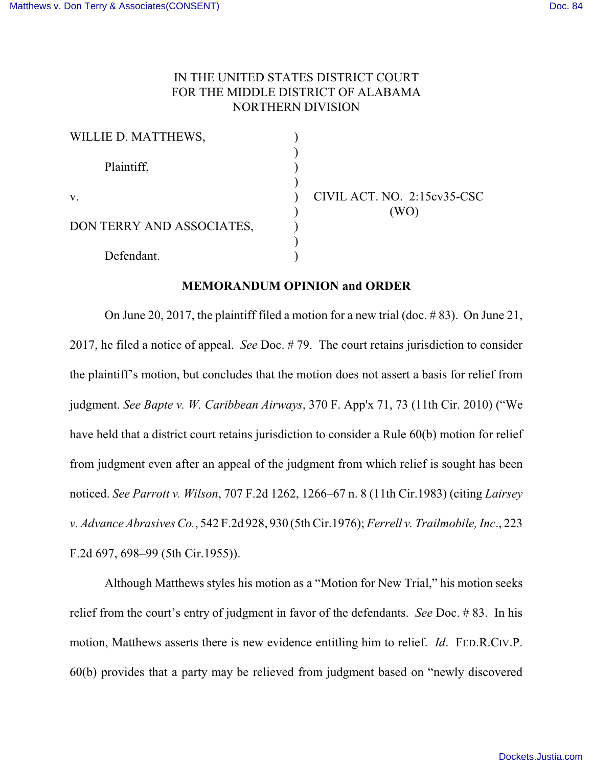## IN THE UNITED STATES DISTRICT COURT FOR THE MIDDLE DISTRICT OF ALABAMA NORTHERN DIVISION

| WILLIE D. MATTHEWS,       |                             |
|---------------------------|-----------------------------|
|                           |                             |
| Plaintiff,                |                             |
|                           |                             |
| V.                        | CIVIL ACT. NO. 2:15cv35-CSC |
|                           |                             |
| DON TERRY AND ASSOCIATES, |                             |
|                           |                             |
| Defendant.                |                             |

## **MEMORANDUM OPINION and ORDER**

On June 20, 2017, the plaintiff filed a motion for a new trial (doc. # 83). On June 21, 2017, he filed a notice of appeal. *See* Doc. # 79. The court retains jurisdiction to consider the plaintiff's motion, but concludes that the motion does not assert a basis for relief from judgment. *See Bapte v. W. Caribbean Airways*, 370 F. App'x 71, 73 (11th Cir. 2010) ("We have held that a district court retains jurisdiction to consider a Rule 60(b) motion for relief from judgment even after an appeal of the judgment from which relief is sought has been noticed. *See Parrott v. Wilson*, 707 F.2d 1262, 1266–67 n. 8 (11th Cir.1983) (citing *Lairsey v. Advance Abrasives Co.*, 542 F.2d 928, 930 (5th Cir.1976); *Ferrell v. Trailmobile, Inc*., 223 F.2d 697, 698–99 (5th Cir.1955)).

Although Matthews styles his motion as a "Motion for New Trial," his motion seeks relief from the court's entry of judgment in favor of the defendants. *See* Doc. # 83. In his motion, Matthews asserts there is new evidence entitling him to relief. *Id*. FED.R.CIV.P. 60(b) provides that a party may be relieved from judgment based on "newly discovered